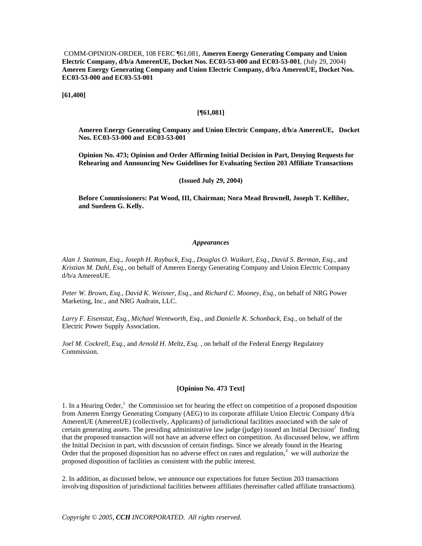COMM-OPINION-ORDER, 108 FERC ¶61,081, **Ameren Energy Generating Company and Union Electric Company, d/b/a AmerenUE, Docket Nos. EC03-53-000 and EC03-53-001**, (July 29, 2004) **Ameren Energy Generating Company and Union Electric Company, d/b/a AmerenUE, Docket Nos. EC03-53-000 and EC03-53-001**

**[61,400]**

#### **[¶61,081]**

**Ameren Energy Generating Company and Union Electric Company, d/b/a AmerenUE, Docket Nos. EC03-53-000 and EC03-53-001**

**Opinion No. 473; Opinion and Order Affirming Initial Decision in Part, Denying Requests for Rehearing and Announcing New Guidelines for Evaluating Section 203 Affiliate Transactions**

#### **(Issued July 29, 2004)**

**Before Commissioners: Pat Wood, III, Chairman; Nora Mead Brownell, Joseph T. Kelliher, and Suedeen G. Kelly.**

#### *Appearances*

*Alan J. Statman, Esq., Joseph H. Raybuck, Esq., Douglas O. Waikart, Esq., David S. Berman, Esq.*, and *Kristian M. Dahl, Esq.*, on behalf of Ameren Energy Generating Company and Union Electric Company d/b/a AmerenUE.

*Peter W. Brown, Esq., David K. Weisner, Esq.*, and *Richard C. Mooney, Esq.*, on behalf of NRG Power Marketing, Inc., and NRG Audrain, LLC.

*Larry F. Eisenstat, Esq., Michael Wentworth, Esq.,* and *Danielle K. Schonback, Esq.*, on behalf of the Electric Power Supply Association.

*Joel M. Cockrell, Esq.*, and *Arnold H. Meltz, Esq.* , on behalf of the Federal Energy Regulatory Commission.

## **[Opinion No. 473 Text]**

1. In a Hearing Order,*<sup>1</sup>* the Commission set for hearing the effect on competition of a proposed disposition from Ameren Energy Generating Company (AEG) to its corporate affiliate Union Electric Company d/b/a AmerenUE (AmerenUE) (collectively, Applicants) of jurisdictional facilities associated with the sale of certain generating assets. The presiding administrative law judge (judge) issued an Initial Decision*<sup>2</sup>* finding that the proposed transaction will not have an adverse effect on competition. As discussed below, we affirm the Initial Decision in part, with discussion of certain findings. Since we already found in the Hearing Order that the proposed disposition has no adverse effect on rates and regulation,<sup>3</sup> we will authorize the proposed disposition of facilities as consistent with the public interest.

2. In addition, as discussed below, we announce our expectations for future Section 203 transactions involving disposition of jurisdictional facilities between affiliates (hereinafter called affiliate transactions).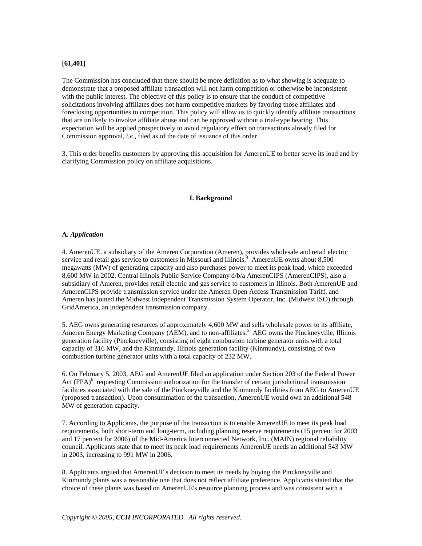### **[61,401]**

The Commission has concluded that there should be more definition as to what showing is adequate to demonstrate that a proposed affiliate transaction will not harm competition or otherwise be inconsistent with the public interest. The objective of this policy is to ensure that the conduct of competitive solicitations involving affiliates does not harm competitive markets by favoring those affiliates and foreclosing opportunities to competition. This policy will allow us to quickly identify affiliate transactions that are unlikely to involve affiliate abuse and can be approved without a trial-type hearing. This expectation will be applied prospectively to avoid regulatory effect on transactions already filed for Commission approval, *i.e.*, filed as of the date of issuance of this order.

3. This order benefits customers by approving this acquisition for AmerenUE to better serve its load and by clarifying Commission policy on affiliate acquisitions.

#### **I. Background**

#### **A.** *Application*

4. AmerenUE, a subsidiary of the Ameren Corporation (Ameren), provides wholesale and retail electric service and retail gas service to customers in Missouri and Illinois.<sup>4</sup> AmerenUE owns about 8,500 megawatts (MW) of generating capacity and also purchases power to meet its peak load, which exceeded 8,600 MW in 2002. Central Illinois Public Service Company d/b/a AmerenCIPS (AmerenCIPS), also a subsidiary of Ameren, provides retail electric and gas service to customers in Illinois. Both AmerenUE and AmerenCIPS provide transmission service under the Ameren Open Access Transmission Tariff, and Ameren has joined the Midwest Independent Transmission System Operator, Inc. (Midwest ISO) through GridAmerica, an independent transmission company.

5. AEG owns generating resources of approximately 4,600 MW and sells wholesale power to its affiliate, Ameren Energy Marketing Company (AEM), and to non-affiliates.<sup>5</sup> AEG owns the Pinckneyville, Illinois generation facility (Pinckneyville), consisting of eight combustion turbine generator units with a total capacity of 316 MW, and the Kinmundy, Illinois generation facility (Kinmundy), consisting of two combustion turbine generator units with a total capacity of 232 MW.

6. On February 5, 2003, AEG and AmerenUE filed an application under Section 203 of the Federal Power Act (FPA)<sup>6</sup> requesting Commission authorization for the transfer of certain jurisdictional transmission facilities associated with the sale of the Pinckneyville and the Kinmundy facilities from AEG to AmerenUE (proposed transaction). Upon consummation of the transaction, AmerenUE would own an additional 548 MW of generation capacity.

7. According to Applicants, the purpose of the transaction is to enable AmerenUE to meet its peak load requirements, both short-term and long-term, including planning reserve requirements (15 percent for 2003 and 17 percent for 2006) of the Mid-America Interconnected Network, Inc. (MAIN) regional reliability council. Applicants state that to meet its peak load requirements AmerenUE needs an additional 543 MW in 2003, increasing to 991 MW in 2006.

8. Applicants argued that AmerenUE's decision to meet its needs by buying the Pinckneyville and Kinmundy plants was a reasonable one that does not reflect affiliate preference. Applicants stated that the choice of these plants was based on AmerenUE's resource planning process and was consistent with a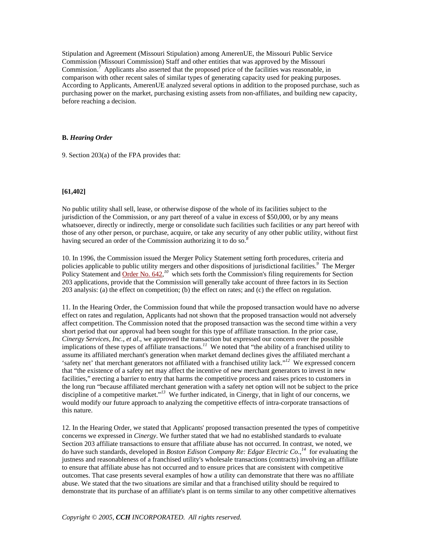Stipulation and Agreement (Missouri Stipulation) among AmerenUE, the Missouri Public Service Commission (Missouri Commission) Staff and other entities that was approved by the Missouri Commission.<sup>7</sup> Applicants also asserted that the proposed price of the facilities was reasonable, in comparison with other recent sales of similar types of generating capacity used for peaking purposes. According to Applicants, AmerenUE analyzed several options in addition to the proposed purchase, such as purchasing power on the market, purchasing existing assets from non-affiliates, and building new capacity, before reaching a decision.

### **B.** *Hearing Order*

9. Section 203(a) of the FPA provides that:

## **[61,402]**

No public utility shall sell, lease, or otherwise dispose of the whole of its facilities subject to the jurisdiction of the Commission, or any part thereof of a value in excess of \$50,000, or by any means whatsoever, directly or indirectly, merge or consolidate such facilities such facilities or any part hereof with those of any other person, or purchase, acquire, or take any security of any other public utility, without first having secured an order of the Commission authorizing it to do so.*<sup>8</sup>*

10. In 1996, the Commission issued the Merger Policy Statement setting forth procedures, criteria and policies applicable to public utility mergers and other dispositions of jurisdictional facilities.*<sup>9</sup>* The Merger Policy Statement and Order No. 642,<sup>10</sup> which sets forth the Commission's filing requirements for Section 203 applications, provide that the Commission will generally take account of three factors in its Section 203 analysis: (a) the effect on competition; (b) the effect on rates; and (c) the effect on regulation.

11. In the Hearing Order, the Commission found that while the proposed transaction would have no adverse effect on rates and regulation, Applicants had not shown that the proposed transaction would not adversely affect competition. The Commission noted that the proposed transaction was the second time within a very short period that our approval had been sought for this type of affiliate transaction. In the prior case, *Cinergy Services, Inc., et al*., we approved the transaction but expressed our concern over the possible implications of these types of affiliate transactions.*<sup>11</sup>* We noted that "the ability of a franchised utility to assume its affiliated merchant's generation when market demand declines gives the affiliated merchant a 'safety net' that merchant generators not affiliated with a franchised utility lack."*<sup>12</sup>* We expressed concern that "the existence of a safety net may affect the incentive of new merchant generators to invest in new facilities," erecting a barrier to entry that harms the competitive process and raises prices to customers in the long run "because affiliated merchant generation with a safety net option will not be subject to the price discipline of a competitive market."<sup>13</sup> We further indicated, in Cinergy, that in light of our concerns, we would modify our future approach to analyzing the competitive effects of intra-corporate transactions of this nature.

12. In the Hearing Order, we stated that Applicants' proposed transaction presented the types of competitive concerns we expressed in *Cinergy*. We further stated that we had no established standards to evaluate Section 203 affiliate transactions to ensure that affiliate abuse has not occurred. In contrast, we noted, we do have such standards, developed in *Boston Edison Company Re: Edgar Electric Co*.,*<sup>14</sup>* for evaluating the justness and reasonableness of a franchised utility's wholesale transactions (contracts) involving an affiliate to ensure that affiliate abuse has not occurred and to ensure prices that are consistent with competitive outcomes. That case presents several examples of how a utility can demonstrate that there was no affiliate abuse. We stated that the two situations are similar and that a franchised utility should be required to demonstrate that its purchase of an affiliate's plant is on terms similar to any other competitive alternatives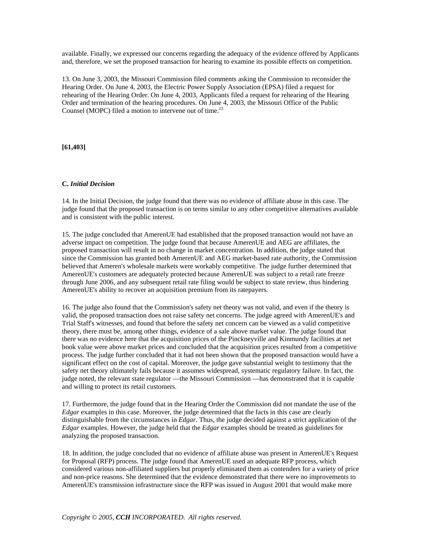available. Finally, we expressed our concerns regarding the adequacy of the evidence offered by Applicants and, therefore, we set the proposed transaction for hearing to examine its possible effects on competition.

13. On June 3, 2003, the Missouri Commission filed comments asking the Commission to reconsider the Hearing Order. On June 4, 2003, the Electric Power Supply Association (EPSA) filed a request for rehearing of the Hearing Order. On June 4, 2003, Applicants filed a request for rehearing of the Hearing Order and termination of the hearing procedures. On June 4, 2003, the Missouri Office of the Public Counsel (MOPC) filed a motion to intervene out of time.*<sup>15</sup>*

**[61,403]**

### **C.** *Initial Decision*

14. In the Initial Decision, the judge found that there was no evidence of affiliate abuse in this case. The judge found that the proposed transaction is on terms similar to any other competitive alternatives available and is consistent with the public interest.

15. The judge concluded that AmerenUE had established that the proposed transaction would not have an adverse impact on competition. The judge found that because AmerenUE and AEG are affiliates, the proposed transaction will result in no change in market concentration. In addition, the judge stated that since the Commission has granted both AmerenUE and AEG market-based rate authority, the Commission believed that Ameren's wholesale markets were workably competitive. The judge further determined that AmerenUE's customers are adequately protected because AmerenUE was subject to a retail rate freeze through June 2006, and any subsequent retail rate filing would be subject to state review, thus hindering AmerenUE's ability to recover an acquisition premium from its ratepayers.

16. The judge also found that the Commission's safety net theory was not valid, and even if the theory is valid, the proposed transaction does not raise safety net concerns. The judge agreed with AmerenUE's and Trial Staff's witnesses, and found that before the safety net concern can be viewed as a valid competitive theory, there must be, among other things, evidence of a sale above market value. The judge found that there was no evidence here that the acquisition prices of the Pinckneyville and Kinmundy facilities at net book value were above market prices and concluded that the acquisition prices resulted from a competitive process. The judge further concluded that it had not been shown that the proposed transaction would have a significant effect on the cost of capital. Moreover, the judge gave substantial weight to testimony that the safety net theory ultimately fails because it assumes widespread, systematic regulatory failure. In fact, the judge noted, the relevant state regulator —the Missouri Commission —has demonstrated that it is capable and willing to protect its retail customers.

17. Furthermore, the judge found that in the Hearing Order the Commission did not mandate the use of the *Edgar* examples in this case. Moreover, the judge determined that the facts in this case are clearly distinguishable from the circumstances in *Edgar*. Thus, the judge decided against a strict application of the *Edgar* examples. However, the judge held that the *Edgar* examples should be treated as guidelines for analyzing the proposed transaction.

18. In addition, the judge concluded that no evidence of affiliate abuse was present in AmerenUE's Request for Proposal (RFP) process. The judge found that AmerenUE used an adequate RFP process, which considered various non-affiliated suppliers but properly eliminated them as contenders for a variety of price and non-price reasons. She determined that the evidence demonstrated that there were no improvements to AmerenUE's transmission infrastructure since the RFP was issued in August 2001 that would make more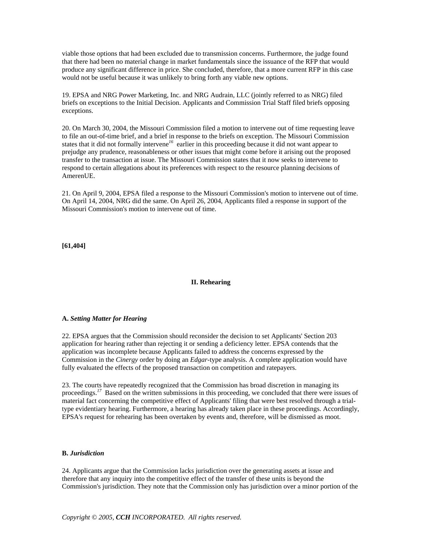viable those options that had been excluded due to transmission concerns. Furthermore, the judge found that there had been no material change in market fundamentals since the issuance of the RFP that would produce any significant difference in price. She concluded, therefore, that a more current RFP in this case would not be useful because it was unlikely to bring forth any viable new options.

19. EPSA and NRG Power Marketing, Inc. and NRG Audrain, LLC (jointly referred to as NRG) filed briefs on exceptions to the Initial Decision. Applicants and Commission Trial Staff filed briefs opposing exceptions.

20. On March 30, 2004, the Missouri Commission filed a motion to intervene out of time requesting leave to file an out-of-time brief, and a brief in response to the briefs on exception. The Missouri Commission states that it did not formally intervene*<sup>16</sup>* earlier in this proceeding because it did not want appear to prejudge any prudence, reasonableness or other issues that might come before it arising out the proposed transfer to the transaction at issue. The Missouri Commission states that it now seeks to intervene to respond to certain allegations about its preferences with respect to the resource planning decisions of AmerenUE.

21. On April 9, 2004, EPSA filed a response to the Missouri Commission's motion to intervene out of time. On April 14, 2004, NRG did the same. On April 26, 2004, Applicants filed a response in support of the Missouri Commission's motion to intervene out of time.

**[61,404]**

## **II. Rehearing**

#### **A.** *Setting Matter for Hearing*

22. EPSA argues that the Commission should reconsider the decision to set Applicants' Section 203 application for hearing rather than rejecting it or sending a deficiency letter. EPSA contends that the application was incomplete because Applicants failed to address the concerns expressed by the Commission in the *Cinergy* order by doing an *Edgar*-type analysis. A complete application would have fully evaluated the effects of the proposed transaction on competition and ratepayers.

23. The courts have repeatedly recognized that the Commission has broad discretion in managing its proceedings.<sup>17</sup> Based on the written submissions in this proceeding, we concluded that there were issues of material fact concerning the competitive effect of Applicants' filing that were best resolved through a trialtype evidentiary hearing. Furthermore, a hearing has already taken place in these proceedings. Accordingly, EPSA's request for rehearing has been overtaken by events and, therefore, will be dismissed as moot.

#### **B.** *Jurisdiction*

24. Applicants argue that the Commission lacks jurisdiction over the generating assets at issue and therefore that any inquiry into the competitive effect of the transfer of these units is beyond the Commission's jurisdiction. They note that the Commission only has jurisdiction over a minor portion of the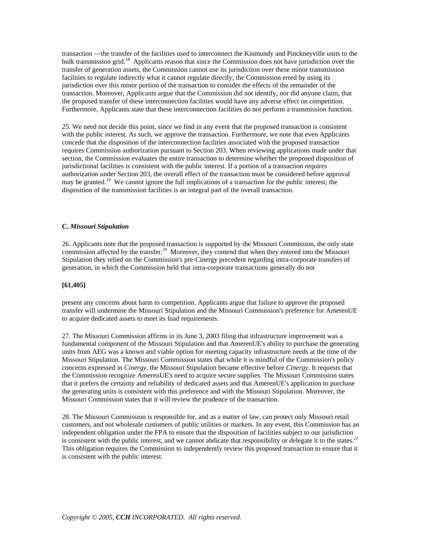transaction —the transfer of the facilities used to interconnect the Kinmundy and Pinckneyville units to the bulk transmission grid.*<sup>18</sup>* Applicants reason that since the Commission does not have jurisdiction over the transfer of generation assets, the Commission cannot use its jurisdiction over these minor transmission facilities to regulate indirectly what it cannot regulate directly; the Commission erred by using its jurisdiction over this minor portion of the transaction to consider the effects of the remainder of the transaction. Moreover, Applicants argue that the Commission did not identify, nor did anyone claim, that the proposed transfer of these interconnection facilities would have any adverse effect on competition. Furthermore, Applicants state that these interconnection facilities do not perform a transmission function.

25. We need not decide this point, since we find in any event that the proposed transaction is consistent with the public interest. As such, we approve the transaction. Furthermore, we note that even Applicants concede that the disposition of the interconnection facilities associated with the proposed transaction requires Commission authorization pursuant to Section 203. When reviewing applications made under that section, the Commission evaluates the entire transaction to determine whether the proposed disposition of jurisdictional facilities is consistent with the public interest. If a portion of a transaction requires authorization under Section 203, the overall effect of the transaction must be considered before approval may be granted.<sup>19</sup> We cannot ignore the full implications of a transaction for the public interest; the disposition of the transmission facilities is an integral part of the overall transaction.

### **C.** *Missouri Stipulation*

26. Applicants note that the proposed transaction is supported by the Missouri Commission, the only state commission affected by the transfer.*<sup>20</sup>* Moreover, they contend that when they entered into the Missouri Stipulation they relied on the Commission's pre-Cinergy precedent regarding intra-corporate transfers of generation, in which the Commission held that intra-corporate transactions generally do not

#### **[61,405]**

present any concerns about harm to competition. Applicants argue that failure to approve the proposed transfer will undermine the Missouri Stipulation and the Missouri Commission's preference for AmerenUE to acquire dedicated assets to meet its load requirements.

27. The Missouri Commission affirms in its June 3, 2003 filing that infrastructure improvement was a fundamental component of the Missouri Stipulation and that AmerenUE's ability to purchase the generating units from AEG was a known and viable option for meeting capacity infrastructure needs at the time of the Missouri Stipulation. The Missouri Commission states that while it is mindful of the Commission's policy concerns expressed in *Cinergy*, the Missouri Stipulation became effective before *Cinergy*. It requests that the Commission recognize AmerenUE's need to acquire secure supplies. The Missouri Commission states that it prefers the certainty and reliability of dedicated assets and that AmerenUE's application to purchase the generating units is consistent with this preference and with the Missouri Stipulation. Moreover, the Missouri Commission states that it will review the prudence of the transaction.

28. The Missouri Commission is responsible for, and as a matter of law, can protect only Missouri retail customers, and not wholesale customers of public utilities or markets. In any event, this Commission has an independent obligation under the FPA to ensure that the disposition of facilities subject to our jurisdiction is consistent with the public interest, and we cannot abdicate that responsibility or delegate it to the states.*<sup>21</sup>* This obligation requires the Commission to independently review this proposed transaction to ensure that it is consistent with the public interest.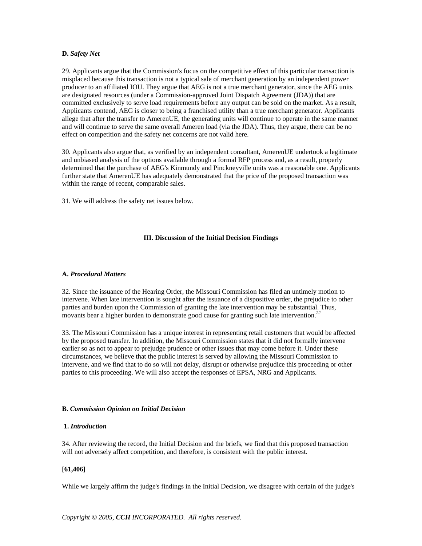#### **D.** *Safety Net*

29. Applicants argue that the Commission's focus on the competitive effect of this particular transaction is misplaced because this transaction is not a typical sale of merchant generation by an independent power producer to an affiliated IOU. They argue that AEG is not a true merchant generator, since the AEG units are designated resources (under a Commission-approved Joint Dispatch Agreement (JDA)) that are committed exclusively to serve load requirements before any output can be sold on the market. As a result, Applicants contend, AEG is closer to being a franchised utility than a true merchant generator. Applicants allege that after the transfer to AmerenUE, the generating units will continue to operate in the same manner and will continue to serve the same overall Ameren load (via the JDA). Thus, they argue, there can be no effect on competition and the safety net concerns are not valid here.

30. Applicants also argue that, as verified by an independent consultant, AmerenUE undertook a legitimate and unbiased analysis of the options available through a formal RFP process and, as a result, properly determined that the purchase of AEG's Kinmundy and Pinckneyville units was a reasonable one. Applicants further state that AmerenUE has adequately demonstrated that the price of the proposed transaction was within the range of recent, comparable sales.

31. We will address the safety net issues below.

### **III. Discussion of the Initial Decision Findings**

#### **A.** *Procedural Matters*

32. Since the issuance of the Hearing Order, the Missouri Commission has filed an untimely motion to intervene. When late intervention is sought after the issuance of a dispositive order, the prejudice to other parties and burden upon the Commission of granting the late intervention may be substantial. Thus, movants bear a higher burden to demonstrate good cause for granting such late intervention.*<sup>22</sup>*

33. The Missouri Commission has a unique interest in representing retail customers that would be affected by the proposed transfer. In addition, the Missouri Commission states that it did not formally intervene earlier so as not to appear to prejudge prudence or other issues that may come before it. Under these circumstances, we believe that the public interest is served by allowing the Missouri Commission to intervene, and we find that to do so will not delay, disrupt or otherwise prejudice this proceeding or other parties to this proceeding. We will also accept the responses of EPSA, NRG and Applicants.

#### **B.** *Commission Opinion on Initial Decision*

### **1.** *Introduction*

34. After reviewing the record, the Initial Decision and the briefs, we find that this proposed transaction will not adversely affect competition, and therefore, is consistent with the public interest.

## **[61,406]**

While we largely affirm the judge's findings in the Initial Decision, we disagree with certain of the judge's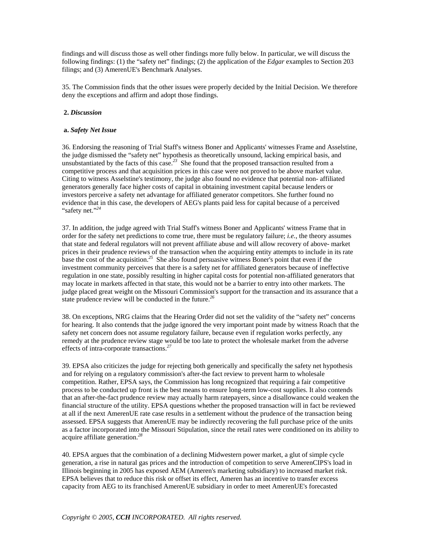findings and will discuss those as well other findings more fully below. In particular, we will discuss the following findings: (1) the "safety net" findings; (2) the application of the *Edgar* examples to Section 203 filings; and (3) AmerenUE's Benchmark Analyses.

35. The Commission finds that the other issues were properly decided by the Initial Decision. We therefore deny the exceptions and affirm and adopt those findings.

#### **2.** *Discussion*

### **a.** *Safety Net Issue*

36. Endorsing the reasoning of Trial Staff's witness Boner and Applicants' witnesses Frame and Asselstine, the judge dismissed the "safety net" hypothesis as theoretically unsound, lacking empirical basis, and unsubstantiated by the facts of this case.*<sup>23</sup>* She found that the proposed transaction resulted from a competitive process and that acquisition prices in this case were not proved to be above market value. Citing to witness Asselstine's testimony, the judge also found no evidence that potential non- affiliated generators generally face higher costs of capital in obtaining investment capital because lenders or investors perceive a safety net advantage for affiliated generator competitors. She further found no evidence that in this case, the developers of AEG's plants paid less for capital because of a perceived "safety net."*<sup>24</sup>*

37. In addition, the judge agreed with Trial Staff's witness Boner and Applicants' witness Frame that in order for the safety net predictions to come true, there must be regulatory failure; *i.e.*, the theory assumes that state and federal regulators will not prevent affiliate abuse and will allow recovery of above- market prices in their prudence reviews of the transaction when the acquiring entity attempts to include in its rate base the cost of the acquisition.*<sup>25</sup>* She also found persuasive witness Boner's point that even if the investment community perceives that there is a safety net for affiliated generators because of ineffective regulation in one state, possibly resulting in higher capital costs for potential non-affiliated generators that may locate in markets affected in that state, this would not be a barrier to entry into other markets. The judge placed great weight on the Missouri Commission's support for the transaction and its assurance that a state prudence review will be conducted in the future.*<sup>26</sup>*

38. On exceptions, NRG claims that the Hearing Order did not set the validity of the "safety net" concerns for hearing. It also contends that the judge ignored the very important point made by witness Roach that the safety net concern does not assume regulatory failure, because even if regulation works perfectly, any remedy at the prudence review stage would be too late to protect the wholesale market from the adverse effects of intra-corporate transactions.*<sup>27</sup>*

39. EPSA also criticizes the judge for rejecting both generically and specifically the safety net hypothesis and for relying on a regulatory commission's after-the fact review to prevent harm to wholesale competition. Rather, EPSA says, the Commission has long recognized that requiring a fair competitive process to be conducted up front is the best means to ensure long-term low-cost supplies. It also contends that an after-the-fact prudence review may actually harm ratepayers, since a disallowance could weaken the financial structure of the utility. EPSA questions whether the proposed transaction will in fact be reviewed at all if the next AmerenUE rate case results in a settlement without the prudence of the transaction being assessed. EPSA suggests that AmerenUE may be indirectly recovering the full purchase price of the units as a factor incorporated into the Missouri Stipulation, since the retail rates were conditioned on its ability to acquire affiliate generation.*<sup>28</sup>*

40. EPSA argues that the combination of a declining Midwestern power market, a glut of simple cycle generation, a rise in natural gas prices and the introduction of competition to serve AmerenCIPS's load in Illinois beginning in 2005 has exposed AEM (Ameren's marketing subsidiary) to increased market risk. EPSA believes that to reduce this risk or offset its effect, Ameren has an incentive to transfer excess capacity from AEG to its franchised AmerenUE subsidiary in order to meet AmerenUE's forecasted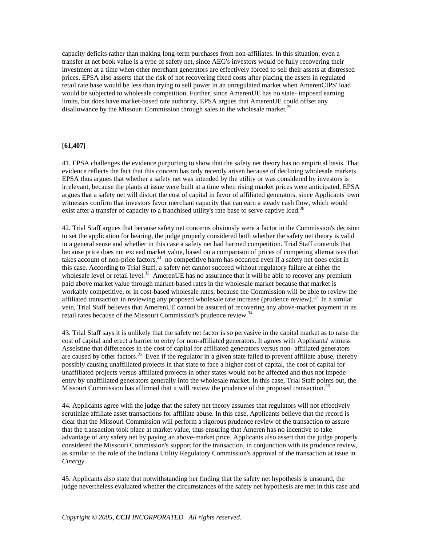capacity deficits rather than making long-term purchases from non-affiliates. In this situation, even a transfer at net book value is a type of safety net, since AEG's investors would be fully recovering their investment at a time when other merchant generators are effectively forced to sell their assets at distressed prices. EPSA also asserts that the risk of not recovering fixed costs after placing the assets in regulated retail rate base would be less than trying to sell power in an unregulated market when AmerenCIPS' load would be subjected to wholesale competition. Further, since AmerenUE has no state- imposed earning limits, but does have market-based rate authority, EPSA argues that AmerenUE could offset any disallowance by the Missouri Commission through sales in the wholesale market.*<sup>29</sup>*

## **[61,407]**

41. EPSA challenges the evidence purporting to show that the safety net theory has no empirical basis. That evidence reflects the fact that this concern has only recently arisen because of declining wholesale markets. EPSA thus argues that whether a safety net was intended by the utility or was considered by investors is irrelevant, because the plants at issue were built at a time when rising market prices were anticipated. EPSA argues that a safety net will distort the cost of capital in favor of affiliated generators, since Applicants' own witnesses confirm that investors favor merchant capacity that can earn a steady cash flow, which would exist after a transfer of capacity to a franchised utility's rate base to serve captive load.*<sup>30</sup>*

42. Trial Staff argues that because safety net concerns obviously were a factor in the Commission's decision to set the application for hearing, the judge properly considered both whether the safety net theory is valid in a general sense and whether in this case a safety net had harmed competition. Trial Staff contends that because price does not exceed market value, based on a comparison of prices of competing alternatives that takes account of non-price factors,*<sup>31</sup>* no competitive harm has occurred even if a safety net does exist in this case. According to Trial Staff, a safety net cannot succeed without regulatory failure at either the wholesale level or retail level.<sup>32</sup> AmerenUE has no assurance that it will be able to recover any premium paid above market value through market-based rates in the wholesale market because that market is workably competitive, or in cost-based wholesale rates, because the Commission will be able to review the affiliated transaction in reviewing any proposed wholesale rate increase (prudence review).*<sup>33</sup>* In a similar vein, Trial Staff believes that AmerenUE cannot be assured of recovering any above-market payment in its retail rates because of the Missouri Commission's prudence review.*<sup>34</sup>*

43. Trial Staff says it is unlikely that the safety net factor is so pervasive in the capital market as to raise the cost of capital and erect a barrier to entry for non-affiliated generators. It agrees with Applicants' witness Asselstine that differences in the cost of capital for affiliated generators versus non- affiliated generators are caused by other factors.*<sup>35</sup>* Even if the regulator in a given state failed to prevent affiliate abuse, thereby possibly causing unaffiliated projects in that state to face a higher cost of capital, the cost of capital for unaffiliated projects versus affiliated projects in other states would not be affected and thus not impede entry by unaffiliated generators generally into the wholesale market. In this case, Trial Staff points out, the Missouri Commission has affirmed that it will review the prudence of the proposed transaction.*<sup>36</sup>*

44. Applicants agree with the judge that the safety net theory assumes that regulators will not effectively scrutinize affiliate asset transactions for affiliate abuse. In this case, Applicants believe that the record is clear that the Missouri Commission will perform a rigorous prudence review of the transaction to assure that the transaction took place at market value, thus ensuring that Ameren has no incentive to take advantage of any safety net by paying an above-market price. Applicants also assert that the judge properly considered the Missouri Commission's support for the transaction, in conjunction with its prudence review, as similar to the role of the Indiana Utility Regulatory Commission's approval of the transaction at issue in *Cinergy*.

45. Applicants also state that notwithstanding her finding that the safety net hypothesis is unsound, the judge nevertheless evaluated whether the circumstances of the safety net hypothesis are met in this case and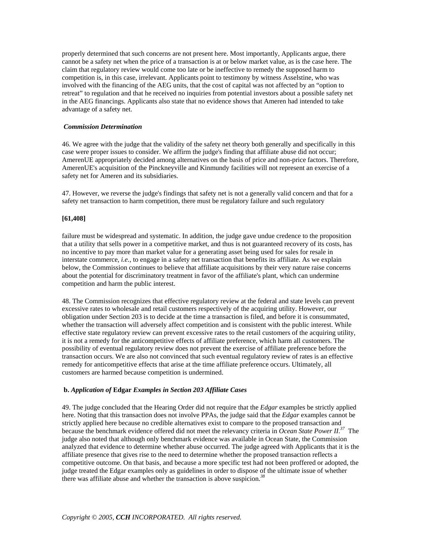properly determined that such concerns are not present here. Most importantly, Applicants argue, there cannot be a safety net when the price of a transaction is at or below market value, as is the case here. The claim that regulatory review would come too late or be ineffective to remedy the supposed harm to competition is, in this case, irrelevant. Applicants point to testimony by witness Asselstine, who was involved with the financing of the AEG units, that the cost of capital was not affected by an "option to retreat" to regulation and that he received no inquiries from potential investors about a possible safety net in the AEG financings. Applicants also state that no evidence shows that Ameren had intended to take advantage of a safety net.

#### *Commission Determination*

46. We agree with the judge that the validity of the safety net theory both generally and specifically in this case were proper issues to consider. We affirm the judge's finding that affiliate abuse did not occur; AmerenUE appropriately decided among alternatives on the basis of price and non-price factors. Therefore, AmerenUE's acquisition of the Pinckneyville and Kinmundy facilities will not represent an exercise of a safety net for Ameren and its subsidiaries.

47. However, we reverse the judge's findings that safety net is not a generally valid concern and that for a safety net transaction to harm competition, there must be regulatory failure and such regulatory

### **[61,408]**

failure must be widespread and systematic. In addition, the judge gave undue credence to the proposition that a utility that sells power in a competitive market, and thus is not guaranteed recovery of its costs, has no incentive to pay more than market value for a generating asset being used for sales for resale in interstate commerce, *i.e.*, to engage in a safety net transaction that benefits its affiliate. As we explain below, the Commission continues to believe that affiliate acquisitions by their very nature raise concerns about the potential for discriminatory treatment in favor of the affiliate's plant, which can undermine competition and harm the public interest.

48. The Commission recognizes that effective regulatory review at the federal and state levels can prevent excessive rates to wholesale and retail customers respectively of the acquiring utility. However, our obligation under Section 203 is to decide at the time a transaction is filed, and before it is consummated, whether the transaction will adversely affect competition and is consistent with the public interest. While effective state regulatory review can prevent excessive rates to the retail customers of the acquiring utility, it is not a remedy for the anticompetitive effects of affiliate preference, which harm all customers. The possibility of eventual regulatory review does not prevent the exercise of affiliate preference before the transaction occurs. We are also not convinced that such eventual regulatory review of rates is an effective remedy for anticompetitive effects that arise at the time affiliate preference occurs. Ultimately, all customers are harmed because competition is undermined.

#### **b.** *Application of* **Edgar** *Examples in Section 203 Affiliate Cases*

49. The judge concluded that the Hearing Order did not require that the *Edgar* examples be strictly applied here. Noting that this transaction does not involve PPAs, the judge said that the *Edgar* examples cannot be strictly applied here because no credible alternatives exist to compare to the proposed transaction and because the benchmark evidence offered did not meet the relevancy criteria in *Ocean State Power II*. *<sup>37</sup>* The judge also noted that although only benchmark evidence was available in Ocean State, the Commission analyzed that evidence to determine whether abuse occurred. The judge agreed with Applicants that it is the affiliate presence that gives rise to the need to determine whether the proposed transaction reflects a competitive outcome. On that basis, and because a more specific test had not been proffered or adopted, the judge treated the Edgar examples only as guidelines in order to dispose of the ultimate issue of whether there was affiliate abuse and whether the transaction is above suspicion.*<sup>38</sup>*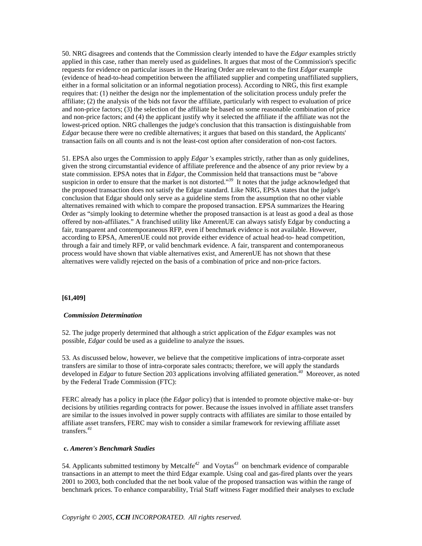50. NRG disagrees and contends that the Commission clearly intended to have the *Edgar* examples strictly applied in this case, rather than merely used as guidelines. It argues that most of the Commission's specific requests for evidence on particular issues in the Hearing Order are relevant to the first *Edgar* example (evidence of head-to-head competition between the affiliated supplier and competing unaffiliated suppliers, either in a formal solicitation or an informal negotiation process). According to NRG, this first example requires that: (1) neither the design nor the implementation of the solicitation process unduly prefer the affiliate; (2) the analysis of the bids not favor the affiliate, particularly with respect to evaluation of price and non-price factors; (3) the selection of the affiliate be based on some reasonable combination of price and non-price factors; and (4) the applicant justify why it selected the affiliate if the affiliate was not the lowest-priced option. NRG challenges the judge's conclusion that this transaction is distinguishable from *Edgar* because there were no credible alternatives; it argues that based on this standard, the Applicants' transaction fails on all counts and is not the least-cost option after consideration of non-cost factors.

51. EPSA also urges the Commission to apply *Edgar* 's examples strictly, rather than as only guidelines, given the strong circumstantial evidence of affiliate preference and the absence of any prior review by a state commission. EPSA notes that in *Edgar*, the Commission held that transactions must be "above suspicion in order to ensure that the market is not distorted."<sup>39</sup> It notes that the judge acknowledged that the proposed transaction does not satisfy the Edgar standard. Like NRG, EPSA states that the judge's conclusion that Edgar should only serve as a guideline stems from the assumption that no other viable alternatives remained with which to compare the proposed transaction. EPSA summarizes the Hearing Order as "simply looking to determine whether the proposed transaction is at least as good a deal as those offered by non-affiliates." A franchised utility like AmerenUE can always satisfy Edgar by conducting a fair, transparent and contemporaneous RFP, even if benchmark evidence is not available. However, according to EPSA, AmerenUE could not provide either evidence of actual head-to- head competition, through a fair and timely RFP, or valid benchmark evidence. A fair, transparent and contemporaneous process would have shown that viable alternatives exist, and AmerenUE has not shown that these alternatives were validly rejected on the basis of a combination of price and non-price factors.

#### **[61,409]**

#### *Commission Determination*

52. The judge properly determined that although a strict application of the *Edgar* examples was not possible, *Edgar* could be used as a guideline to analyze the issues.

53. As discussed below, however, we believe that the competitive implications of intra-corporate asset transfers are similar to those of intra-corporate sales contracts; therefore, we will apply the standards developed in *Edgar* to future Section 203 applications involving affiliated generation.*<sup>40</sup>* Moreover, as noted by the Federal Trade Commission (FTC):

FERC already has a policy in place (the *Edgar* policy) that is intended to promote objective make-or- buy decisions by utilities regarding contracts for power. Because the issues involved in affiliate asset transfers are similar to the issues involved in power supply contracts with affiliates are similar to those entailed by affiliate asset transfers, FERC may wish to consider a similar framework for reviewing affiliate asset transfers.*<sup>41</sup>*

#### **c.** *Ameren's Benchmark Studies*

54. Applicants submitted testimony by Metcalfe*<sup>42</sup>* and Voytas*<sup>43</sup>* on benchmark evidence of comparable transactions in an attempt to meet the third Edgar example. Using coal and gas-fired plants over the years 2001 to 2003, both concluded that the net book value of the proposed transaction was within the range of benchmark prices. To enhance comparability, Trial Staff witness Fager modified their analyses to exclude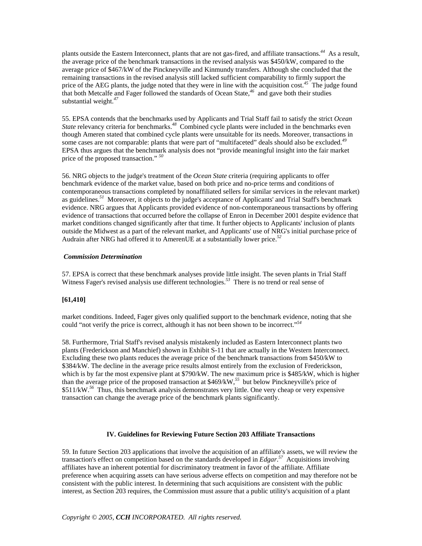plants outside the Eastern Interconnect, plants that are not gas-fired, and affiliate transactions.*<sup>44</sup>* As a result, the average price of the benchmark transactions in the revised analysis was \$450/kW, compared to the average price of \$467/kW of the Pinckneyville and Kinmundy transfers. Although she concluded that the remaining transactions in the revised analysis still lacked sufficient comparability to firmly support the price of the AEG plants, the judge noted that they were in line with the acquisition cost.*<sup>45</sup>* The judge found that both Metcalfe and Fager followed the standards of Ocean State,*<sup>46</sup>* and gave both their studies substantial weight.*<sup>47</sup>*

55. EPSA contends that the benchmarks used by Applicants and Trial Staff fail to satisfy the strict *Ocean State* relevancy criteria for benchmarks.*<sup>48</sup>* Combined cycle plants were included in the benchmarks even though Ameren stated that combined cycle plants were unsuitable for its needs. Moreover, transactions in some cases are not comparable: plants that were part of "multifaceted" deals should also be excluded.*<sup>49</sup>* EPSA thus argues that the benchmark analysis does not "provide meaningful insight into the fair market price of the proposed transaction." *<sup>50</sup>*

56. NRG objects to the judge's treatment of the *Ocean State* criteria (requiring applicants to offer benchmark evidence of the market value, based on both price and no-price terms and conditions of contemporaneous transactions completed by nonaffiliated sellers for similar services in the relevant market) as guidelines.*<sup>51</sup>* Moreover, it objects to the judge's acceptance of Applicants' and Trial Staff's benchmark evidence. NRG argues that Applicants provided evidence of non-contemporaneous transactions by offering evidence of transactions that occurred before the collapse of Enron in December 2001 despite evidence that market conditions changed significantly after that time. It further objects to Applicants' inclusion of plants outside the Midwest as a part of the relevant market, and Applicants' use of NRG's initial purchase price of Audrain after NRG had offered it to AmerenUE at a substantially lower price.*<sup>52</sup>*

## *Commission Determination*

57. EPSA is correct that these benchmark analyses provide little insight. The seven plants in Trial Staff Witness Fager's revised analysis use different technologies.<sup>53</sup> There is no trend or real sense of

## **[61,410]**

market conditions. Indeed, Fager gives only qualified support to the benchmark evidence, noting that she could "not verify the price is correct, although it has not been shown to be incorrect."*<sup>54</sup>*

58. Furthermore, Trial Staff's revised analysis mistakenly included as Eastern Interconnect plants two plants (Frederickson and Manchief) shown in Exhibit S-11 that are actually in the Western Interconnect. Excluding these two plants reduces the average price of the benchmark transactions from \$450/kW to \$384/kW. The decline in the average price results almost entirely from the exclusion of Frederickson, which is by far the most expensive plant at \$790/kW. The new maximum price is \$485/kW, which is higher than the average price of the proposed transaction at \$469/kW,*<sup>55</sup>* but below Pinckneyville's price of \$511/kW.*<sup>56</sup>* Thus, this benchmark analysis demonstrates very little. One very cheap or very expensive transaction can change the average price of the benchmark plants significantly.

#### **IV. Guidelines for Reviewing Future Section 203 Affiliate Transactions**

59. In future Section 203 applications that involve the acquisition of an affiliate's assets, we will review the transaction's effect on competition based on the standards developed in *Edgar*. *<sup>57</sup>* Acquisitions involving affiliates have an inherent potential for discriminatory treatment in favor of the affiliate. Affiliate preference when acquiring assets can have serious adverse effects on competition and may therefore not be consistent with the public interest. In determining that such acquisitions are consistent with the public interest, as Section 203 requires, the Commission must assure that a public utility's acquisition of a plant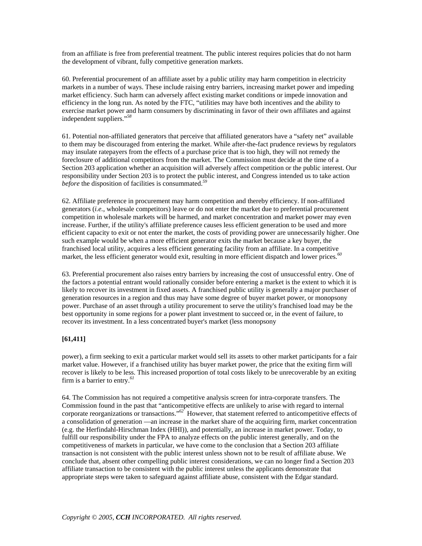from an affiliate is free from preferential treatment. The public interest requires policies that do not harm the development of vibrant, fully competitive generation markets.

60. Preferential procurement of an affiliate asset by a public utility may harm competition in electricity markets in a number of ways. These include raising entry barriers, increasing market power and impeding market efficiency. Such harm can adversely affect existing market conditions or impede innovation and efficiency in the long run. As noted by the FTC, "utilities may have both incentives and the ability to exercise market power and harm consumers by discriminating in favor of their own affiliates and against independent suppliers."*<sup>58</sup>*

61. Potential non-affiliated generators that perceive that affiliated generators have a "safety net" available to them may be discouraged from entering the market. While after-the-fact prudence reviews by regulators may insulate ratepayers from the effects of a purchase price that is too high, they will not remedy the foreclosure of additional competitors from the market. The Commission must decide at the time of a Section 203 application whether an acquisition will adversely affect competition or the public interest. Our responsibility under Section 203 is to protect the public interest, and Congress intended us to take action *before* the disposition of facilities is consummated.*<sup>59</sup>*

62. Affiliate preference in procurement may harm competition and thereby efficiency. If non-affiliated generators (*i.e.*, wholesale competitors) leave or do not enter the market due to preferential procurement competition in wholesale markets will be harmed, and market concentration and market power may even increase. Further, if the utility's affiliate preference causes less efficient generation to be used and more efficient capacity to exit or not enter the market, the costs of providing power are unnecessarily higher. One such example would be when a more efficient generator exits the market because a key buyer, the franchised local utility, acquires a less efficient generating facility from an affiliate. In a competitive market, the less efficient generator would exit, resulting in more efficient dispatch and lower prices.*<sup>60</sup>*

63. Preferential procurement also raises entry barriers by increasing the cost of unsuccessful entry. One of the factors a potential entrant would rationally consider before entering a market is the extent to which it is likely to recover its investment in fixed assets. A franchised public utility is generally a major purchaser of generation resources in a region and thus may have some degree of buyer market power, or monopsony power. Purchase of an asset through a utility procurement to serve the utility's franchised load may be the best opportunity in some regions for a power plant investment to succeed or, in the event of failure, to recover its investment. In a less concentrated buyer's market (less monopsony

## **[61,411]**

power), a firm seeking to exit a particular market would sell its assets to other market participants for a fair market value. However, if a franchised utility has buyer market power, the price that the exiting firm will recover is likely to be less. This increased proportion of total costs likely to be unrecoverable by an exiting firm is a barrier to entry.*<sup>61</sup>*

64. The Commission has not required a competitive analysis screen for intra-corporate transfers. The Commission found in the past that "anticompetitive effects are unlikely to arise with regard to internal corporate reorganizations or transactions."*<sup>62</sup>* However, that statement referred to anticompetitive effects of a consolidation of generation —an increase in the market share of the acquiring firm, market concentration (e.g. the Herfindahl-Hirschman Index (HHI)), and potentially, an increase in market power. Today, to fulfill our responsibility under the FPA to analyze effects on the public interest generally, and on the competitiveness of markets in particular, we have come to the conclusion that a Section 203 affiliate transaction is not consistent with the public interest unless shown not to be result of affiliate abuse. We conclude that, absent other compelling public interest considerations, we can no longer find a Section 203 affiliate transaction to be consistent with the public interest unless the applicants demonstrate that appropriate steps were taken to safeguard against affiliate abuse, consistent with the Edgar standard.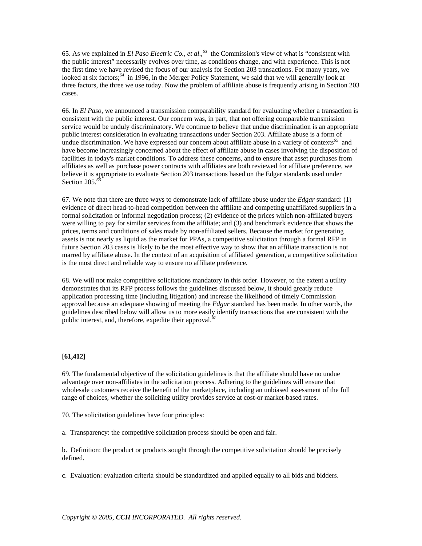65. As we explained in *El Paso Electric Co., et al*.,*<sup>63</sup>* the Commission's view of what is "consistent with the public interest" necessarily evolves over time, as conditions change, and with experience. This is not the first time we have revised the focus of our analysis for Section 203 transactions. For many years, we looked at six factors;<sup>64</sup> in 1996, in the Merger Policy Statement, we said that we will generally look at three factors, the three we use today. Now the problem of affiliate abuse is frequently arising in Section 203 cases.

66. In *El Paso*, we announced a transmission comparability standard for evaluating whether a transaction is consistent with the public interest. Our concern was, in part, that not offering comparable transmission service would be unduly discriminatory. We continue to believe that undue discrimination is an appropriate public interest consideration in evaluating transactions under Section 203. Affiliate abuse is a form of undue discrimination. We have expressed our concern about affiliate abuse in a variety of contexts*<sup>65</sup>* and have become increasingly concerned about the effect of affiliate abuse in cases involving the disposition of facilities in today's market conditions. To address these concerns, and to ensure that asset purchases from affiliates as well as purchase power contracts with affiliates are both reviewed for affiliate preference, we believe it is appropriate to evaluate Section 203 transactions based on the Edgar standards used under Section 205.*<sup>66</sup>*

67. We note that there are three ways to demonstrate lack of affiliate abuse under the *Edgar* standard: (1) evidence of direct head-to-head competition between the affiliate and competing unaffiliated suppliers in a formal solicitation or informal negotiation process; (2) evidence of the prices which non-affiliated buyers were willing to pay for similar services from the affiliate; and (3) and benchmark evidence that shows the prices, terms and conditions of sales made by non-affiliated sellers. Because the market for generating assets is not nearly as liquid as the market for PPAs, a competitive solicitation through a formal RFP in future Section 203 cases is likely to be the most effective way to show that an affiliate transaction is not marred by affiliate abuse. In the context of an acquisition of affiliated generation, a competitive solicitation is the most direct and reliable way to ensure no affiliate preference.

68. We will not make competitive solicitations mandatory in this order. However, to the extent a utility demonstrates that its RFP process follows the guidelines discussed below, it should greatly reduce application processing time (including litigation) and increase the likelihood of timely Commission approval because an adequate showing of meeting the *Edgar* standard has been made. In other words, the guidelines described below will allow us to more easily identify transactions that are consistent with the public interest, and, therefore, expedite their approval.*<sup>67</sup>*

## **[61,412]**

69. The fundamental objective of the solicitation guidelines is that the affiliate should have no undue advantage over non-affiliates in the solicitation process. Adhering to the guidelines will ensure that wholesale customers receive the benefit of the marketplace, including an unbiased assessment of the full range of choices, whether the soliciting utility provides service at cost-or market-based rates.

70. The solicitation guidelines have four principles:

a. Transparency: the competitive solicitation process should be open and fair.

b. Definition: the product or products sought through the competitive solicitation should be precisely defined.

c. Evaluation: evaluation criteria should be standardized and applied equally to all bids and bidders.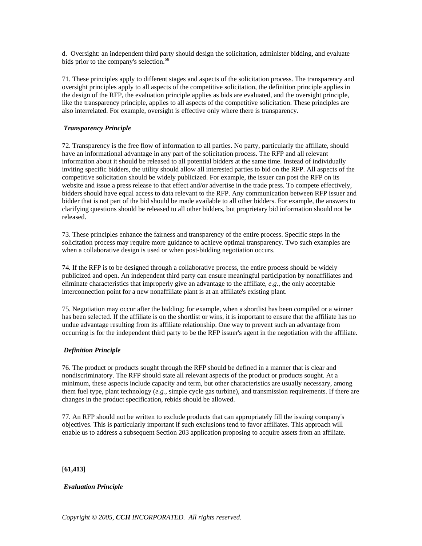d. Oversight: an independent third party should design the solicitation, administer bidding, and evaluate bids prior to the company's selection.*<sup>68</sup>*

71. These principles apply to different stages and aspects of the solicitation process. The transparency and oversight principles apply to all aspects of the competitive solicitation, the definition principle applies in the design of the RFP, the evaluation principle applies as bids are evaluated, and the oversight principle, like the transparency principle, applies to all aspects of the competitive solicitation. These principles are also interrelated. For example, oversight is effective only where there is transparency.

## *Transparency Principle*

72. Transparency is the free flow of information to all parties. No party, particularly the affiliate, should have an informational advantage in any part of the solicitation process. The RFP and all relevant information about it should be released to all potential bidders at the same time. Instead of individually inviting specific bidders, the utility should allow all interested parties to bid on the RFP. All aspects of the competitive solicitation should be widely publicized. For example, the issuer can post the RFP on its website and issue a press release to that effect and/or advertise in the trade press. To compete effectively, bidders should have equal access to data relevant to the RFP. Any communication between RFP issuer and bidder that is not part of the bid should be made available to all other bidders. For example, the answers to clarifying questions should be released to all other bidders, but proprietary bid information should not be released.

73. These principles enhance the fairness and transparency of the entire process. Specific steps in the solicitation process may require more guidance to achieve optimal transparency. Two such examples are when a collaborative design is used or when post-bidding negotiation occurs.

74. If the RFP is to be designed through a collaborative process, the entire process should be widely publicized and open. An independent third party can ensure meaningful participation by nonaffiliates and eliminate characteristics that improperly give an advantage to the affiliate, *e.g.*, the only acceptable interconnection point for a new nonaffiliate plant is at an affiliate's existing plant.

75. Negotiation may occur after the bidding; for example, when a shortlist has been compiled or a winner has been selected. If the affiliate is on the shortlist or wins, it is important to ensure that the affiliate has no undue advantage resulting from its affiliate relationship. One way to prevent such an advantage from occurring is for the independent third party to be the RFP issuer's agent in the negotiation with the affiliate.

## *Definition Principle*

76. The product or products sought through the RFP should be defined in a manner that is clear and nondiscriminatory. The RFP should state all relevant aspects of the product or products sought. At a minimum, these aspects include capacity and term, but other characteristics are usually necessary, among them fuel type, plant technology (*e.g.*, simple cycle gas turbine), and transmission requirements. If there are changes in the product specification, rebids should be allowed.

77. An RFP should not be written to exclude products that can appropriately fill the issuing company's objectives. This is particularly important if such exclusions tend to favor affiliates. This approach will enable us to address a subsequent Section 203 application proposing to acquire assets from an affiliate.

#### **[61,413]**

## *Evaluation Principle*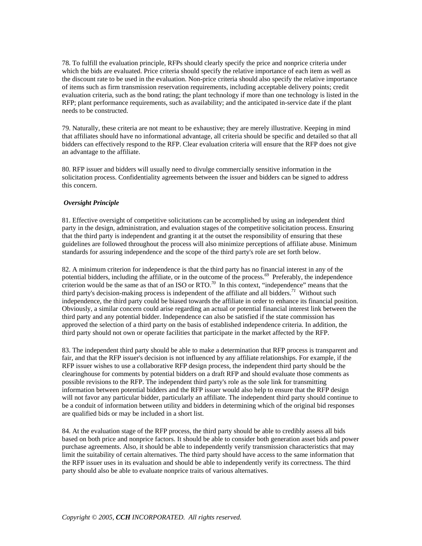78. To fulfill the evaluation principle, RFPs should clearly specify the price and nonprice criteria under which the bids are evaluated. Price criteria should specify the relative importance of each item as well as the discount rate to be used in the evaluation. Non-price criteria should also specify the relative importance of items such as firm transmission reservation requirements, including acceptable delivery points; credit evaluation criteria, such as the bond rating; the plant technology if more than one technology is listed in the RFP; plant performance requirements, such as availability; and the anticipated in-service date if the plant needs to be constructed.

79. Naturally, these criteria are not meant to be exhaustive; they are merely illustrative. Keeping in mind that affiliates should have no informational advantage, all criteria should be specific and detailed so that all bidders can effectively respond to the RFP. Clear evaluation criteria will ensure that the RFP does not give an advantage to the affiliate.

80. RFP issuer and bidders will usually need to divulge commercially sensitive information in the solicitation process. Confidentiality agreements between the issuer and bidders can be signed to address this concern.

## *Oversight Principle*

81. Effective oversight of competitive solicitations can be accomplished by using an independent third party in the design, administration, and evaluation stages of the competitive solicitation process. Ensuring that the third party is independent and granting it at the outset the responsibility of ensuring that these guidelines are followed throughout the process will also minimize perceptions of affiliate abuse. Minimum standards for assuring independence and the scope of the third party's role are set forth below.

82. A minimum criterion for independence is that the third party has no financial interest in any of the potential bidders, including the affiliate, or in the outcome of the process.<sup>69</sup> Preferably, the independence criterion would be the same as that of an ISO or RTO.<sup>70</sup> In this context, "independence" means that the third party's decision-making process is independent of the affiliate and all bidders.*<sup>71</sup>* Without such independence, the third party could be biased towards the affiliate in order to enhance its financial position. Obviously, a similar concern could arise regarding an actual or potential financial interest link between the third party and any potential bidder. Independence can also be satisfied if the state commission has approved the selection of a third party on the basis of established independence criteria. In addition, the third party should not own or operate facilities that participate in the market affected by the RFP.

83. The independent third party should be able to make a determination that RFP process is transparent and fair, and that the RFP issuer's decision is not influenced by any affiliate relationships. For example, if the RFP issuer wishes to use a collaborative RFP design process, the independent third party should be the clearinghouse for comments by potential bidders on a draft RFP and should evaluate those comments as possible revisions to the RFP. The independent third party's role as the sole link for transmitting information between potential bidders and the RFP issuer would also help to ensure that the RFP design will not favor any particular bidder, particularly an affiliate. The independent third party should continue to be a conduit of information between utility and bidders in determining which of the original bid responses are qualified bids or may be included in a short list.

84. At the evaluation stage of the RFP process, the third party should be able to credibly assess all bids based on both price and nonprice factors. It should be able to consider both generation asset bids and power purchase agreements. Also, it should be able to independently verify transmission characteristics that may limit the suitability of certain alternatives. The third party should have access to the same information that the RFP issuer uses in its evaluation and should be able to independently verify its correctness. The third party should also be able to evaluate nonprice traits of various alternatives.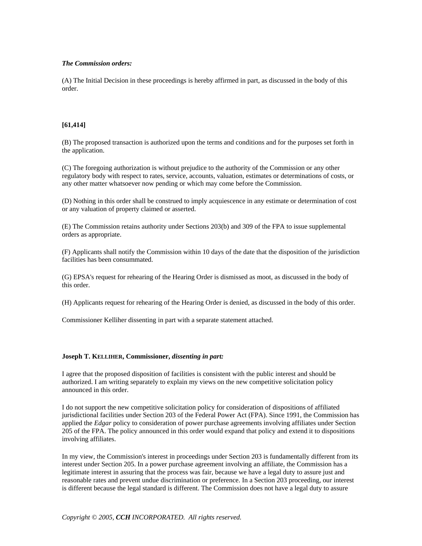### *The Commission orders:*

(A) The Initial Decision in these proceedings is hereby affirmed in part, as discussed in the body of this order.

## **[61,414]**

(B) The proposed transaction is authorized upon the terms and conditions and for the purposes set forth in the application.

(C) The foregoing authorization is without prejudice to the authority of the Commission or any other regulatory body with respect to rates, service, accounts, valuation, estimates or determinations of costs, or any other matter whatsoever now pending or which may come before the Commission.

(D) Nothing in this order shall be construed to imply acquiescence in any estimate or determination of cost or any valuation of property claimed or asserted.

(E) The Commission retains authority under Sections 203(b) and 309 of the FPA to issue supplemental orders as appropriate.

(F) Applicants shall notify the Commission within 10 days of the date that the disposition of the jurisdiction facilities has been consummated.

(G) EPSA's request for rehearing of the Hearing Order is dismissed as moot, as discussed in the body of this order.

(H) Applicants request for rehearing of the Hearing Order is denied, as discussed in the body of this order.

Commissioner Kelliher dissenting in part with a separate statement attached.

#### **Joseph T. KELLIHER, Commissioner,** *dissenting in part:*

I agree that the proposed disposition of facilities is consistent with the public interest and should be authorized. I am writing separately to explain my views on the new competitive solicitation policy announced in this order.

I do not support the new competitive solicitation policy for consideration of dispositions of affiliated jurisdictional facilities under Section 203 of the Federal Power Act (FPA). Since 1991, the Commission has applied the *Edgar* policy to consideration of power purchase agreements involving affiliates under Section 205 of the FPA. The policy announced in this order would expand that policy and extend it to dispositions involving affiliates.

In my view, the Commission's interest in proceedings under Section 203 is fundamentally different from its interest under Section 205. In a power purchase agreement involving an affiliate, the Commission has a legitimate interest in assuring that the process was fair, because we have a legal duty to assure just and reasonable rates and prevent undue discrimination or preference. In a Section 203 proceeding, our interest is different because the legal standard is different. The Commission does not have a legal duty to assure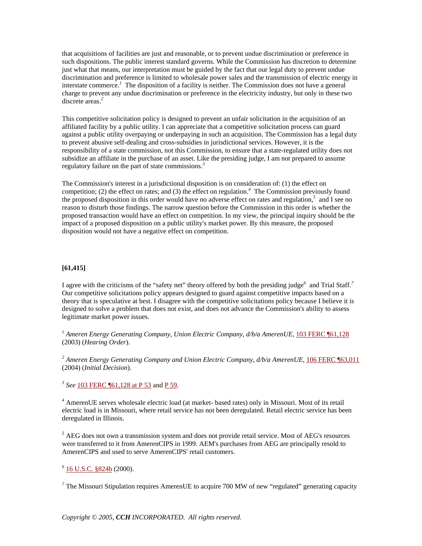that acquisitions of facilities are just and reasonable, or to prevent undue discrimination or preference in such dispositions. The public interest standard governs. While the Commission has discretion to determine just what that means, our interpretation must be guided by the fact that our legal duty to prevent undue discrimination and preference is limited to wholesale power sales and the transmission of electric energy in interstate commerce.*<sup>1</sup>* The disposition of a facility is neither. The Commission does not have a general charge to prevent any undue discrimination or preference in the electricity industry, but only in these two discrete areas.*<sup>2</sup>*

This competitive solicitation policy is designed to prevent an unfair solicitation in the acquisition of an affiliated facility by a public utility. I can appreciate that a competitive solicitation process can guard against a public utility overpaying or underpaying in such an acquisition. The Commission has a legal duty to prevent abusive self-dealing and cross-subsidies in jurisdictional services. However, it is the responsibility of a state commission, not this Commission, to ensure that a state-regulated utility does not subsidize an affiliate in the purchase of an asset. Like the presiding judge, I am not prepared to assume regulatory failure on the part of state commissions.*<sup>3</sup>*

The Commission's interest in a jurisdictional disposition is on consideration of: (1) the effect on competition; (2) the effect on rates; and (3) the effect on regulation.*<sup>4</sup>* The Commission previously found the proposed disposition in this order would have no adverse effect on rates and regulation,<sup>5</sup> and I see no reason to disturb those findings. The narrow question before the Commission in this order is whether the proposed transaction would have an effect on competition. In my view, the principal inquiry should be the impact of a proposed disposition on a public utility's market power. By this measure, the proposed disposition would not have a negative effect on competition.

### **[61,415]**

I agree with the criticisms of the "safety net" theory offered by both the presiding judge<sup>6</sup> and Trial Staff.<sup>7</sup> Our competitive solicitations policy appears designed to guard against competitive impacts based on a theory that is speculative at best. I disagree with the competitive solicitations policy because I believe it is designed to solve a problem that does not exist, and does not advance the Commission's ability to assess legitimate market power issues.

*<sup>1</sup> Ameren Energy Generating Company, Union Electric Company, d/b/a AmerenUE*, 103 FERC ¶61,128 (2003) (*Hearing Order*).

*<sup>2</sup> Ameren Energy Generating Company and Union Electric Company, d/b/a AmerenUE*, 106 FERC ¶63,011 (2004) (*Initial Decision*).

*<sup>3</sup> See* 103 FERC ¶61,128 at P 53 and P 59.

*4* AmerenUE serves wholesale electric load (at market- based rates) only in Missouri. Most of its retail electric load is in Missouri, where retail service has not been deregulated. Retail electric service has been deregulated in Illinois.

 $<sup>5</sup>$  AEG does not own a transmission system and does not provide retail service. Most of AEG's resources</sup> were transferred to it from AmerenCIPS in 1999. AEM's purchases from AEG are principally resold to AmerenCIPS and used to serve AmerenCIPS' retail customers.

# *<sup>6</sup>* 16 U.S.C. §824b (2000).

<sup>7</sup> The Missouri Stipulation requires AmerenUE to acquire 700 MW of new "regulated" generating capacity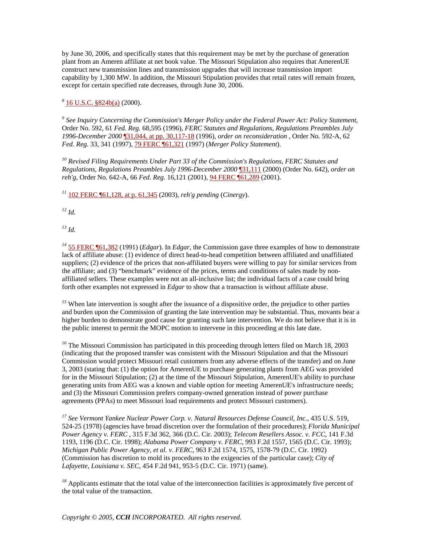by June 30, 2006, and specifically states that this requirement may be met by the purchase of generation plant from an Ameren affiliate at net book value. The Missouri Stipulation also requires that AmerenUE construct new transmission lines and transmission upgrades that will increase transmission import capability by 1,300 MW. In addition, the Missouri Stipulation provides that retail rates will remain frozen, except for certain specified rate decreases, through June 30, 2006.

*<sup>8</sup>* 16 U.S.C. §824b(a) (2000).

*<sup>9</sup> See Inquiry Concerning the Commission's Merger Policy under the Federal Power Act: Policy Statement*, Order No. 592, 61 *Fed. Reg.* 68,595 (1996), *FERC Statutes and Regulations, Regulations Preambles July 1996-December 2000* ¶31,044, at pp. 30,117-18 (1996), *order on reconsideration* , Order No. 592-A, 62 *Fed. Reg.* 33, 341 (1997), 79 FERC ¶61,321 (1997) (*Merger Policy Statement*).

*<sup>10</sup> Revised Filing Requirements Under Part 33 of the Commission's Regulations*, *FERC Statutes and Regulations, Regulations Preambles July 1996-December 2000* ¶31,111 (2000) (Order No. 642), *order on reh'g*, Order No. 642-A, 66 *Fed. Reg.* 16,121 (2001), 94 FERC ¶61,289 (2001).

*<sup>11</sup>* 102 FERC ¶61,128, at p. 61,345 (2003), *reh'g pending* (*Cinergy*).

*<sup>12</sup> Id.*

*<sup>13</sup> Id.*

*<sup>14</sup>* 55 FERC ¶61,382 (1991) (*Edgar*). In *Edgar*, the Commission gave three examples of how to demonstrate lack of affiliate abuse: (1) evidence of direct head-to-head competition between affiliated and unaffiliated suppliers; (2) evidence of the prices that non-affiliated buyers were willing to pay for similar services from the affiliate; and (3) "benchmark" evidence of the prices, terms and conditions of sales made by nonaffiliated sellers. These examples were not an all-inclusive list; the individual facts of a case could bring forth other examples not expressed in *Edgar* to show that a transaction is without affiliate abuse.

<sup>15</sup> When late intervention is sought after the issuance of a dispositive order, the prejudice to other parties and burden upon the Commission of granting the late intervention may be substantial. Thus, movants bear a higher burden to demonstrate good cause for granting such late intervention. We do not believe that it is in the public interest to permit the MOPC motion to intervene in this proceeding at this late date.

<sup>16</sup> The Missouri Commission has participated in this proceeding through letters filed on March 18, 2003 (indicating that the proposed transfer was consistent with the Missouri Stipulation and that the Missouri Commission would protect Missouri retail customers from any adverse effects of the transfer) and on June 3, 2003 (stating that: (1) the option for AmerenUE to purchase generating plants from AEG was provided for in the Missouri Stipulation; (2) at the time of the Missouri Stipulation, AmerenUE's ability to purchase generating units from AEG was a known and viable option for meeting AmerenUE's infrastructure needs; and (3) the Missouri Commission prefers company-owned generation instead of power purchase agreements (PPAs) to meet Missouri load requirements and protect Missouri customers).

*<sup>17</sup> See Vermont Yankee Nuclear Power Corp. v. Natural Resources Defense Council, Inc.*, 435 U.S. 519, 524-25 (1978) (agencies have broad discretion over the formulation of their procedures); *Florida Municipal Power Agency v. FERC* , 315 F.3d 362, 366 (D.C. Cir. 2003); *Telecom Resellers Assoc. v. FCC*, 141 F.3d 1193, 1196 (D.C. Cir. 1998); *Alabama Power Company v. FERC*, 993 F.2d 1557, 1565 (D.C. Cir. 1993); *Michigan Public Power Agency, et al. v. FERC*, 963 F.2d 1574, 1575, 1578-79 (D.C. Cir. 1992) (Commission has discretion to mold its procedures to the exigencies of the particular case); *City of Lafayette, Louisiana v. SEC*, 454 F.2d 941, 953-5 (D.C. Cir. 1971) (same).

<sup>18</sup> Applicants estimate that the total value of the interconnection facilities is approximately five percent of the total value of the transaction.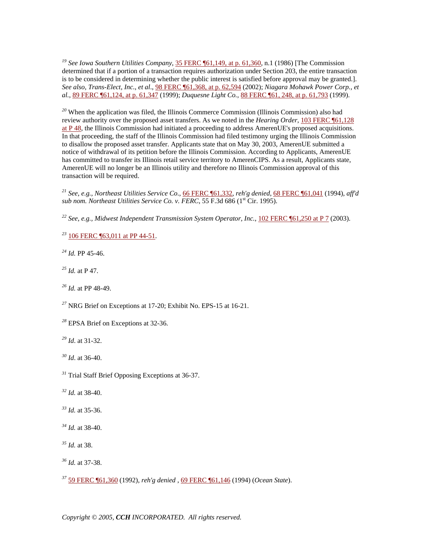*<sup>19</sup> See Iowa Southern Utilities Company*, 35 FERC ¶61,149, at p. 61,360, n.1 (1986) [The Commission determined that if a portion of a transaction requires authorization under Section 203, the entire transaction is to be considered in determining whether the public interest is satisfied before approval may be granted.]. *See also, Trans-Elect, Inc.*, *et al*., 98 FERC ¶61,368, at p. 62,594 (2002); *Niagara Mohawk Power Corp., et al.*, 89 FERC ¶61,124, at p. 61,347 (1999); *Duquesne Light Co.*, 88 FERC ¶61, 248, at p. 61,793 (1999).

<sup>20</sup> When the application was filed, the Illinois Commerce Commission (Illinois Commission) also had review authority over the proposed asset transfers. As we noted in the *Hearing Order*, 103 FERC ¶61,128 at  $P$  48, the Illinois Commission had initiated a proceeding to address AmerenUE's proposed acquisitions. In that proceeding, the staff of the Illinois Commission had filed testimony urging the Illinois Commission to disallow the proposed asset transfer. Applicants state that on May 30, 2003, AmerenUE submitted a notice of withdrawal of its petition before the Illinois Commission. According to Applicants, AmerenUE has committed to transfer its Illinois retail service territory to AmerenCIPS. As a result, Applicants state, AmerenUE will no longer be an Illinois utility and therefore no Illinois Commission approval of this transaction will be required.

*<sup>21</sup> See*, *e.g., Northeast Utilities Service Co.*, 66 FERC ¶61,332, *reh'g denied*, 68 FERC ¶61,041 (1994), *aff'd*  sub nom. Northeast Utilities Service Co. v. FERC, 55 F.3d 686 (1<sup>st</sup> Cir. 1995).

*<sup>22</sup> See*, *e.g., Midwest Independent Transmission System Operator, Inc.*, 102 FERC ¶61,250 at P 7 (2003).

*<sup>23</sup>* 106 FERC ¶63,011 at PP 44-51.

*<sup>24</sup> Id.* PP 45-46.

*<sup>25</sup> Id.* at P 47.

*<sup>26</sup> Id.* at PP 48-49.

*<sup>27</sup>* NRG Brief on Exceptions at 17-20; Exhibit No. EPS-15 at 16-21.

*<sup>28</sup>* EPSA Brief on Exceptions at 32-36.

*<sup>29</sup> Id*. at 31-32.

*<sup>30</sup> Id*. at 36-40.

*<sup>31</sup>* Trial Staff Brief Opposing Exceptions at 36-37.

*<sup>32</sup> Id.* at 38-40.

*<sup>33</sup> Id.* at 35-36.

*<sup>34</sup> Id.* at 38-40.

*<sup>35</sup> Id.* at 38.

*<sup>36</sup> Id.* at 37-38.

*<sup>37</sup>* 59 FERC ¶61,360 (1992), *reh'g denied* , 69 FERC ¶61,146 (1994) (*Ocean State*).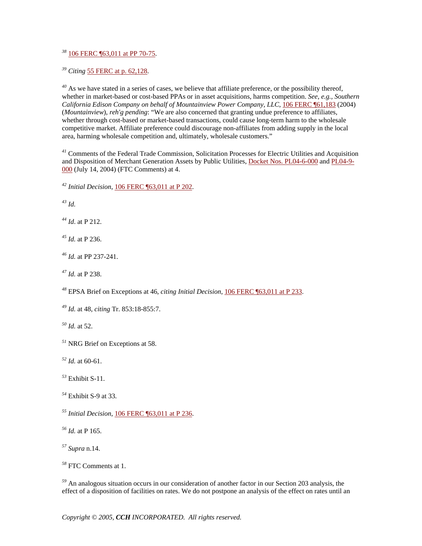106 FERC ¶63,011 at PP 70-75.

*Citing* 55 FERC at p. 62,128.

 As we have stated in a series of cases, we believe that affiliate preference, or the possibility thereof, whether in market-based or cost-based PPAs or in asset acquisitions, harms competition. *See*, *e.g., Southern California Edison Company on behalf of Mountainview Power Company, LLC*, 106 FERC ¶61,183 (2004) (*Mountainview*), *reh'g pending*: "We are also concerned that granting undue preference to affiliates, whether through cost-based or market-based transactions, could cause long-term harm to the wholesale competitive market. Affiliate preference could discourage non-affiliates from adding supply in the local area, harming wholesale competition and, ultimately, wholesale customers."

 Comments of the Federal Trade Commission, Solicitation Processes for Electric Utilities and Acquisition and Disposition of Merchant Generation Assets by Public Utilities, Docket Nos. PL04-6-000 and PL04-9- 000 (July 14, 2004) (FTC Comments) at 4.

*Initial Decision*, 106 FERC ¶63,011 at P 202.

*Id.*

*Id*. at P 212.

*Id.* at P 236.

*Id.* at PP 237-241.

*Id.* at P 238.

EPSA Brief on Exceptions at 46, *citing Initial Decision*, 106 FERC ¶63,011 at P 233.

*Id.* at 48, *citing* Tr. 853:18-855:7.

*Id.* at 52.

NRG Brief on Exceptions at 58.

*Id.* at 60-61.

Exhibit S-11.

Exhibit S-9 at 33.

*Initial Decision*, 106 FERC ¶63,011 at P 236.

*Id.* at P 165.

*Supra* n.14.

FTC Comments at 1.

 An analogous situation occurs in our consideration of another factor in our Section 203 analysis, the effect of a disposition of facilities on rates. We do not postpone an analysis of the effect on rates until an

*Copyright © 2005, CCH INCORPORATED. All rights reserved.*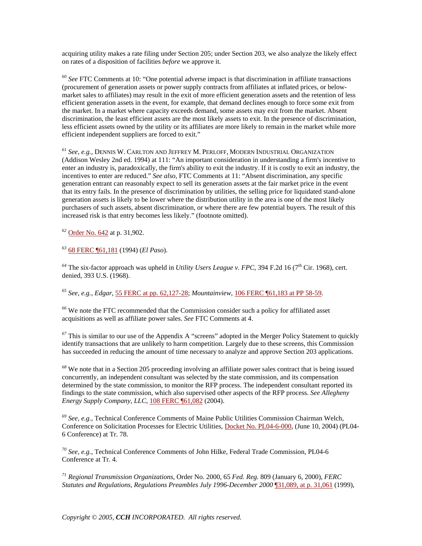acquiring utility makes a rate filing under Section 205; under Section 203, we also analyze the likely effect on rates of a disposition of facilities *before* we approve it.

*<sup>60</sup> See* FTC Comments at 10: "One potential adverse impact is that discrimination in affiliate transactions (procurement of generation assets or power supply contracts from affiliates at inflated prices, or belowmarket sales to affiliates) may result in the exit of more efficient generation assets and the retention of less efficient generation assets in the event, for example, that demand declines enough to force some exit from the market. In a market where capacity exceeds demand, some assets may exit from the market. Absent discrimination, the least efficient assets are the most likely assets to exit. In the presence of discrimination, less efficient assets owned by the utility or its affiliates are more likely to remain in the market while more efficient independent suppliers are forced to exit."

*<sup>61</sup> See*, *e.g.,* DENNIS W. CARLTON AND JEFFREY M. PERLOFF, MODERN INDUSTRIAL ORGANIZATION (Addison Wesley 2nd ed. 1994) at 111: "An important consideration in understanding a firm's incentive to enter an industry is, paradoxically, the firm's ability to exit the industry. If it is costly to exit an industry, the incentives to enter are reduced." *See also*, FTC Comments at 11: "Absent discrimination, any specific generation entrant can reasonably expect to sell its generation assets at the fair market price in the event that its entry fails. In the presence of discrimination by utilities, the selling price for liquidated stand-alone generation assets is likely to be lower where the distribution utility in the area is one of the most likely purchasers of such assets, absent discrimination, or where there are few potential buyers. The result of this increased risk is that entry becomes less likely." (footnote omitted).

*<sup>62</sup>* Order No. 642 at p. 31,902.

*<sup>63</sup>* 68 FERC ¶61,181 (1994) (*El Paso*).

 $^{64}$  The six-factor approach was upheld in *Utility Users League v. FPC*, 394 F.2d 16 (7<sup>th</sup> Cir. 1968), cert. denied, 393 U.S. (1968).

*<sup>65</sup> See*, *e.g., Edgar*, 55 FERC at pp. 62,127-28; *Mountainview*, 106 FERC ¶61,183 at PP 58-59.

*<sup>66</sup>* We note the FTC recommended that the Commission consider such a policy for affiliated asset acquisitions as well as affiliate power sales. *See* FTC Comments at 4.

*<sup>67</sup>* This is similar to our use of the Appendix A "screens" adopted in the Merger Policy Statement to quickly identify transactions that are unlikely to harm competition. Largely due to these screens, this Commission has succeeded in reducing the amount of time necessary to analyze and approve Section 203 applications.

*<sup>68</sup>* We note that in a Section 205 proceeding involving an affiliate power sales contract that is being issued concurrently, an independent consultant was selected by the state commission, and its compensation determined by the state commission, to monitor the RFP process. The independent consultant reported its findings to the state commission, which also supervised other aspects of the RFP process. *See Allegheny Energy Supply Company, LLC*, 108 FERC ¶61,082 (2004).

*<sup>69</sup> See, e.g.*, Technical Conference Comments of Maine Public Utilities Commission Chairman Welch, Conference on Solicitation Processes for Electric Utilities, Docket No. PL04-6-000, (June 10, 2004) (PL04- 6 Conference) at Tr. 78.

*<sup>70</sup> See, e.g.,* Technical Conference Comments of John Hilke, Federal Trade Commission, PL04-6 Conference at Tr. 4.

*<sup>71</sup> Regional Transmission Organizations*, Order No. 2000, 65 *Fed. Reg.* 809 (January 6, 2000), *FERC Statutes and Regulations, Regulations Preambles July 1996-December 2000* ¶31,089, at p. 31,061 (1999),